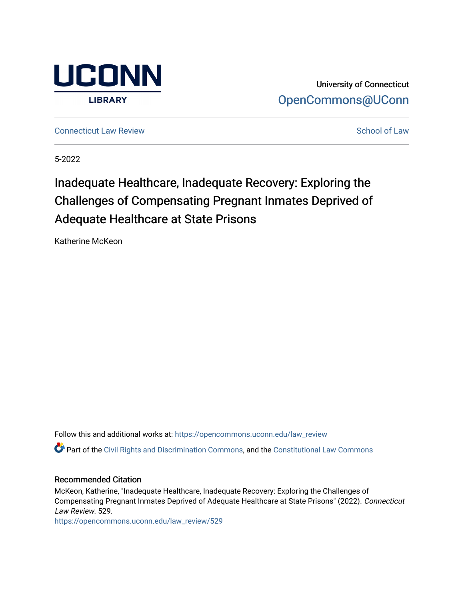

University of Connecticut [OpenCommons@UConn](https://opencommons.uconn.edu/) 

**[Connecticut Law Review](https://opencommons.uconn.edu/law_review) [School of Law](https://opencommons.uconn.edu/sol) Review School of Law School of Law School of Law School of Law School of Law School of Law School of Law School of Law School of Law School of Law School of Law School of Law School of** 

5-2022

# Inadequate Healthcare, Inadequate Recovery: Exploring the Challenges of Compensating Pregnant Inmates Deprived of Adequate Healthcare at State Prisons

Katherine McKeon

Follow this and additional works at: [https://opencommons.uconn.edu/law\\_review](https://opencommons.uconn.edu/law_review?utm_source=opencommons.uconn.edu%2Flaw_review%2F529&utm_medium=PDF&utm_campaign=PDFCoverPages)

Part of the [Civil Rights and Discrimination Commons,](https://network.bepress.com/hgg/discipline/585?utm_source=opencommons.uconn.edu%2Flaw_review%2F529&utm_medium=PDF&utm_campaign=PDFCoverPages) and the [Constitutional Law Commons](https://network.bepress.com/hgg/discipline/589?utm_source=opencommons.uconn.edu%2Flaw_review%2F529&utm_medium=PDF&utm_campaign=PDFCoverPages)

# Recommended Citation

McKeon, Katherine, "Inadequate Healthcare, Inadequate Recovery: Exploring the Challenges of Compensating Pregnant Inmates Deprived of Adequate Healthcare at State Prisons" (2022). Connecticut Law Review. 529.

[https://opencommons.uconn.edu/law\\_review/529](https://opencommons.uconn.edu/law_review/529?utm_source=opencommons.uconn.edu%2Flaw_review%2F529&utm_medium=PDF&utm_campaign=PDFCoverPages)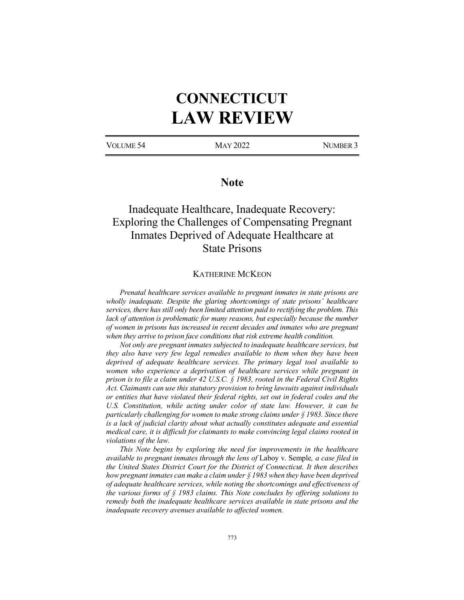# **CONNECTICUT LAW REVIEW**

VOLUME 54 MAY 2022 NUMBER 3

# **Note**

# Inadequate Healthcare, Inadequate Recovery: Exploring the Challenges of Compensating Pregnant Inmates Deprived of Adequate Healthcare at State Prisons

## KATHERINE MCKEON

*Prenatal healthcare services available to pregnant inmates in state prisons are wholly inadequate. Despite the glaring shortcomings of state prisons' healthcare services, there has still only been limited attention paid to rectifying the problem. This lack of attention is problematic for many reasons, but especially because the number of women in prisons has increased in recent decades and inmates who are pregnant when they arrive to prison face conditions that risk extreme health condition.*

*Not only are pregnant inmates subjected to inadequate healthcare services, but they also have very few legal remedies available to them when they have been deprived of adequate healthcare services. The primary legal tool available to*  women who experience a deprivation of healthcare services while pregnant in *prison is to file a claim under 42 U.S.C. § 1983, rooted in the Federal Civil Rights Act. Claimants can use this statutory provision to bring lawsuits against individuals or entities that have violated their federal rights, set out in federal codes and the U.S. Constitution, while acting under color of state law. However, it can be particularly challenging for women to make strong claims under § 1983. Since there is a lack of judicial clarity about what actually constitutes adequate and essential medical care, it is difficult for claimants to make convincing legal claims rooted in violations of the law.* 

*This Note begins by exploring the need for improvements in the healthcare available to pregnant inmates through the lens of* Laboy v. Semple*, a case filed in the United States District Court for the District of Connecticut. It then describes how pregnant inmates can make a claim under § 1983 when they have been deprived of adequate healthcare services, while noting the shortcomings and effectiveness of the various forms of § 1983 claims. This Note concludes by offering solutions to remedy both the inadequate healthcare services available in state prisons and the inadequate recovery avenues available to affected women.*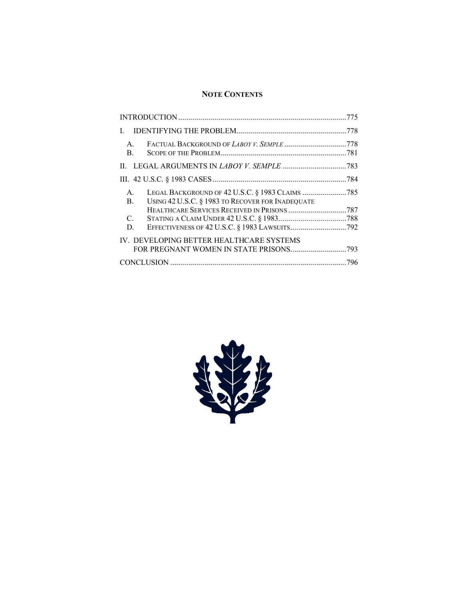# **NOTE CONTENTS**

| L                                        |                                                                                                     |  |
|------------------------------------------|-----------------------------------------------------------------------------------------------------|--|
| $A_{\cdot}$<br>B.                        |                                                                                                     |  |
|                                          |                                                                                                     |  |
|                                          |                                                                                                     |  |
| $A_{\cdot}$<br>$\mathbf{B}$ .            | LEGAL BACKGROUND OF 42 U.S.C. § 1983 CLAIMS 785<br>USING 42 U.S.C. § 1983 TO RECOVER FOR INADEQUATE |  |
| $\mathcal{C}$ .<br>D.                    |                                                                                                     |  |
| IV. DEVELOPING BETTER HEALTHCARE SYSTEMS |                                                                                                     |  |
|                                          |                                                                                                     |  |

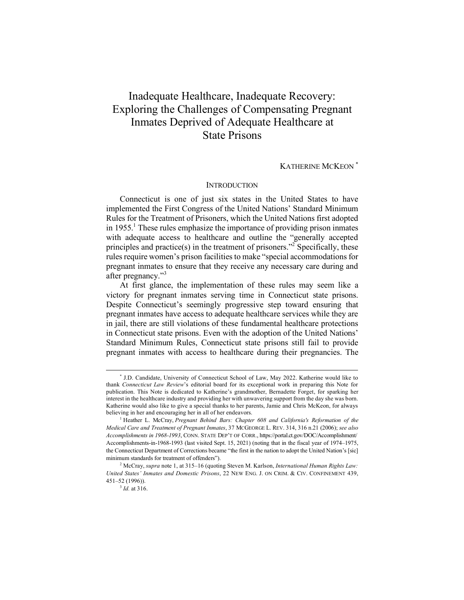# Inadequate Healthcare, Inadequate Recovery: Exploring the Challenges of Compensating Pregnant Inmates Deprived of Adequate Healthcare at State Prisons

# KATHERINE MCKEON \*

#### **INTRODUCTION**

Connecticut is one of just six states in the United States to have implemented the First Congress of the United Nations' Standard Minimum Rules for the Treatment of Prisoners, which the United Nations first adopted in  $1955<sup>1</sup>$ . These rules emphasize the importance of providing prison inmates with adequate access to healthcare and outline the "generally accepted principles and practice(s) in the treatment of prisoners."2 Specifically, these rules require women's prison facilities to make "special accommodations for pregnant inmates to ensure that they receive any necessary care during and after pregnancy."<sup>3</sup>

At first glance, the implementation of these rules may seem like a victory for pregnant inmates serving time in Connecticut state prisons. Despite Connecticut's seemingly progressive step toward ensuring that pregnant inmates have access to adequate healthcare services while they are in jail, there are still violations of these fundamental healthcare protections in Connecticut state prisons. Even with the adoption of the United Nations' Standard Minimum Rules, Connecticut state prisons still fail to provide pregnant inmates with access to healthcare during their pregnancies. The

 <sup>\*</sup> J.D. Candidate, University of Connecticut School of Law, May 2022. Katherine would like to thank *Connecticut Law Review*'s editorial board for its exceptional work in preparing this Note for publication. This Note is dedicated to Katherine's grandmother, Bernadette Forget, for sparking her interest in the healthcare industry and providing her with unwavering support from the day she was born. Katherine would also like to give a special thanks to her parents, Jamie and Chris McKeon, for always believing in her and encouraging her in all of her endeavors.<br><sup>1</sup> Heather L. McCray, *Pregnant Behind Bars: Chapter 608 and California's Reformation of the* 

*Medical Care and Treatment of Pregnant Inmates*, 37 MCGEORGE L. REV. 314, 316 n.21 (2006); *see also Accomplishments in 1968-1993*, CONN. STATE DEP'T OF CORR., https://portal.ct.gov/DOC/Accomplishment/ Accomplishments-in-1968-1993 (last visited Sept. 15, 2021) (noting that in the fiscal year of 1974–1975, the Connecticut Department of Corrections became "the first in the nation to adopt the United Nation's [sic] minimum standards for treatment of offenders").

<sup>2</sup> McCray, *supra* note 1, at 315–16 (quoting Steven M. Karlson, *International Human Rights Law: United States' Inmates and Domestic Prisons*, 22 NEW ENG. J. ON CRIM. & CIV. CONFINEMENT 439, 451–52 (1996)).

<sup>3</sup> *Id.* at 316.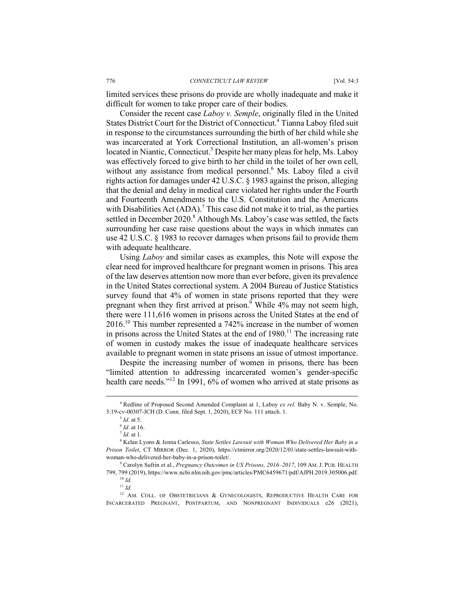limited services these prisons do provide are wholly inadequate and make it difficult for women to take proper care of their bodies.

Consider the recent case *Laboy v. Semple*, originally filed in the United States District Court for the District of Connecticut.<sup>4</sup> Tianna Laboy filed suit in response to the circumstances surrounding the birth of her child while she was incarcerated at York Correctional Institution, an all-women's prison located in Niantic, Connecticut.<sup>5</sup> Despite her many pleas for help, Ms. Laboy was effectively forced to give birth to her child in the toilet of her own cell, without any assistance from medical personnel.<sup>6</sup> Ms. Laboy filed a civil rights action for damages under 42 U.S.C. § 1983 against the prison, alleging that the denial and delay in medical care violated her rights under the Fourth and Fourteenth Amendments to the U.S. Constitution and the Americans with Disabilities Act  $(ADA)$ .<sup>7</sup> This case did not make it to trial, as the parties settled in December  $2020$ .<sup>8</sup> Although Ms. Laboy's case was settled, the facts surrounding her case raise questions about the ways in which inmates can use 42 U.S.C. § 1983 to recover damages when prisons fail to provide them with adequate healthcare.

Using *Laboy* and similar cases as examples, this Note will expose the clear need for improved healthcare for pregnant women in prisons. This area of the law deserves attention now more than ever before, given its prevalence in the United States correctional system. A 2004 Bureau of Justice Statistics survey found that 4% of women in state prisons reported that they were pregnant when they first arrived at prison.<sup>9</sup> While 4% may not seem high, there were 111,616 women in prisons across the United States at the end of 2016.10 This number represented a 742% increase in the number of women in prisons across the United States at the end of  $1980$ .<sup>11</sup> The increasing rate of women in custody makes the issue of inadequate healthcare services available to pregnant women in state prisons an issue of utmost importance.

Despite the increasing number of women in prisons, there has been "limited attention to addressing incarcerated women's gender-specific health care needs."<sup>12</sup> In 1991, 6% of women who arrived at state prisons as

 <sup>4</sup> Redline of Proposed Second Amended Complaint at 1, Laboy *ex rel.* Baby N. v. Semple, No. 3:19-cv-00307-JCH (D. Conn. filed Sept. 1, 2020), ECF No. 111 attach. 1.

<sup>5</sup> *Id.* at 5.

<sup>&</sup>lt;sup>6</sup> *Id.* at 16.<br><sup>7</sup> *Id.* at 1.<br><sup>8</sup> Kelan Lyons & Jenna Carlesso, *State Settles Lawsuit with Woman Who Delivered Her Baby in a Prison Toilet*, CT MIRROR (Dec. 1, 2020), https://ctmirror.org/2020/12/01/state-settles-lawsuit-withwoman-who-delivered-her-baby-in-a-prison-toilet/.<br><sup>9</sup> Carolyn Sufrin et al., *Pregnancy Outcomes in US Prisons, 2016–2017*, 109 AM. J. PUB. HEALTH

<sup>799, 799</sup> (2019), https://www.ncbi.nlm.nih.gov/pmc/articles/PMC6459671/pdf/AJPH.2019.305006.pdf.

<sup>10</sup> *Id.* <sup>11</sup> *Id.*

<sup>&</sup>lt;sup>12</sup> AM. COLL. OF OBSTETRICIANS & GYNECOLOGISTS, REPRODUCTIVE HEALTH CARE FOR INCARCERATED PREGNANT, POSTPARTUM, AND NONPREGNANT INDIVIDUALS e26 (2021),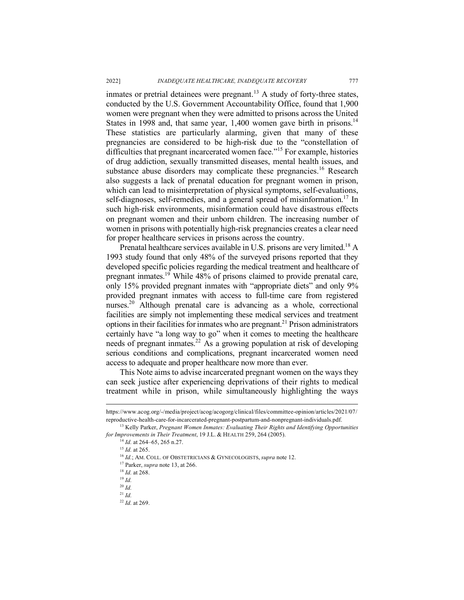inmates or pretrial detainees were pregnant.<sup>13</sup> A study of forty-three states, conducted by the U.S. Government Accountability Office, found that 1,900 women were pregnant when they were admitted to prisons across the United States in 1998 and, that same year, 1,400 women gave birth in prisons.<sup>14</sup> These statistics are particularly alarming, given that many of these pregnancies are considered to be high-risk due to the "constellation of difficulties that pregnant incarcerated women face."<sup>15</sup> For example, histories of drug addiction, sexually transmitted diseases, mental health issues, and substance abuse disorders may complicate these pregnancies.<sup>16</sup> Research also suggests a lack of prenatal education for pregnant women in prison, which can lead to misinterpretation of physical symptoms, self-evaluations, self-diagnoses, self-remedies, and a general spread of misinformation.<sup>17</sup> In such high-risk environments, misinformation could have disastrous effects on pregnant women and their unborn children. The increasing number of women in prisons with potentially high-risk pregnancies creates a clear need for proper healthcare services in prisons across the country.

Prenatal healthcare services available in U.S. prisons are very limited.18 A 1993 study found that only 48% of the surveyed prisons reported that they developed specific policies regarding the medical treatment and healthcare of pregnant inmates.<sup>19</sup> While 48% of prisons claimed to provide prenatal care, only 15% provided pregnant inmates with "appropriate diets" and only 9% provided pregnant inmates with access to full-time care from registered nurses.<sup>20</sup> Although prenatal care is advancing as a whole, correctional facilities are simply not implementing these medical services and treatment options in their facilities for inmates who are pregnant.<sup>21</sup> Prison administrators certainly have "a long way to go" when it comes to meeting the healthcare needs of pregnant inmates.<sup>22</sup> As a growing population at risk of developing serious conditions and complications, pregnant incarcerated women need access to adequate and proper healthcare now more than ever.

This Note aims to advise incarcerated pregnant women on the ways they can seek justice after experiencing deprivations of their rights to medical treatment while in prison, while simultaneously highlighting the ways

https://www.acog.org/-/media/project/acog/acogorg/clinical/files/committee-opinion/articles/2021/07/ reproductive-health-care-for-incarcerated-pregnant-postpartum-and-nonpregnant-individuals.pdf. 13 Kelly Parker, *Pregnant Women Inmates: Evaluating Their Rights and Identifying Opportunities* 

*for Improvements in Their Treatment*, 19 J.L. & HEALTH 259, 264 (2005).<br><sup>14</sup> *Id.* at 264–65, 265 n.27.<br><sup>15</sup> *Id.* at 265.<br><sup>16</sup> *Id.*; AM. COLL. OF OBSTETRICIANS & GYNECOLOGISTS, *supra* note 12.

<sup>17</sup> Parker, *supra* note 13, at 266.

<sup>18</sup> *Id.* at 268. 19 *Id.*

<sup>20</sup> *Id.*

<sup>21</sup> *Id.*

<sup>22</sup> *Id.* at 269.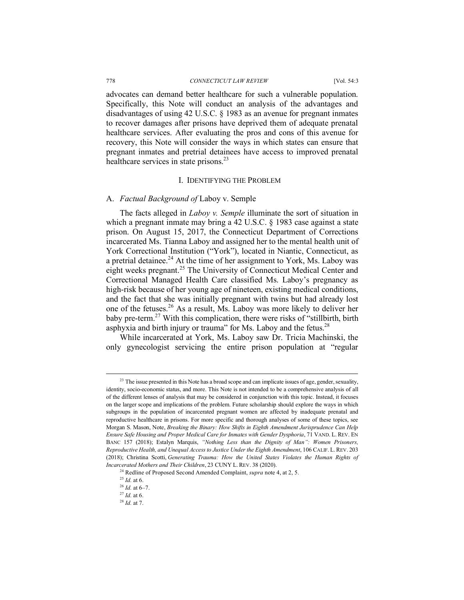#### 778 *CONNECTICUT LAW REVIEW* [Vol. 54:3

advocates can demand better healthcare for such a vulnerable population. Specifically, this Note will conduct an analysis of the advantages and disadvantages of using 42 U.S.C. § 1983 as an avenue for pregnant inmates to recover damages after prisons have deprived them of adequate prenatal healthcare services. After evaluating the pros and cons of this avenue for recovery, this Note will consider the ways in which states can ensure that pregnant inmates and pretrial detainees have access to improved prenatal healthcare services in state prisons.<sup>23</sup>

#### I. IDENTIFYING THE PROBLEM

#### A. *Factual Background of* Laboy v. Semple

The facts alleged in *Laboy v. Semple* illuminate the sort of situation in which a pregnant inmate may bring a 42 U.S.C. § 1983 case against a state prison. On August 15, 2017, the Connecticut Department of Corrections incarcerated Ms. Tianna Laboy and assigned her to the mental health unit of York Correctional Institution ("York"), located in Niantic, Connecticut, as a pretrial detainee.<sup>24</sup> At the time of her assignment to York, Ms. Laboy was eight weeks pregnant.<sup>25</sup> The University of Connecticut Medical Center and Correctional Managed Health Care classified Ms. Laboy's pregnancy as high-risk because of her young age of nineteen, existing medical conditions, and the fact that she was initially pregnant with twins but had already lost one of the fetuses.<sup>26</sup> As a result, Ms. Laboy was more likely to deliver her baby pre-term.27 With this complication, there were risks of "stillbirth, birth asphyxia and birth injury or trauma" for Ms. Laboy and the fetus. $28$ 

While incarcerated at York, Ms. Laboy saw Dr. Tricia Machinski, the only gynecologist servicing the entire prison population at "regular

<sup>&</sup>lt;sup>23</sup> The issue presented in this Note has a broad scope and can implicate issues of age, gender, sexuality, identity, socio-economic status, and more. This Note is not intended to be a comprehensive analysis of all of the different lenses of analysis that may be considered in conjunction with this topic. Instead, it focuses on the larger scope and implications of the problem. Future scholarship should explore the ways in which subgroups in the population of incarcerated pregnant women are affected by inadequate prenatal and reproductive healthcare in prisons. For more specific and thorough analyses of some of these topics, see Morgan S. Mason, Note, *Breaking the Binary: How Shifts in Eighth Amendment Jurisprudence Can Help Ensure Safe Housing and Proper Medical Care for Inmates with Gender Dysphoria*, 71 VAND. L. REV. EN BANC 157 (2018); Estalyn Marquis, *"Nothing Less than the Dignity of Man": Women Prisoners, Reproductive Health, and Unequal Access to Justice Under the Eighth Amendment*, 106 CALIF. L.REV. 203 (2018); Christina Scotti, *Generating Trauma: How the United States Violates the Human Rights of Incarcerated Mothers and Their Children*, 23 CUNY L. REV. 38 (2020).

<sup>24</sup> Redline of Proposed Second Amended Complaint, *supra* note 4, at 2, 5.

<sup>25</sup> *Id.* at 6.

<sup>26</sup> *Id.* at 6–7.

 $^{27}$  *Id.* at 6.

<sup>28</sup> *Id.* at 7.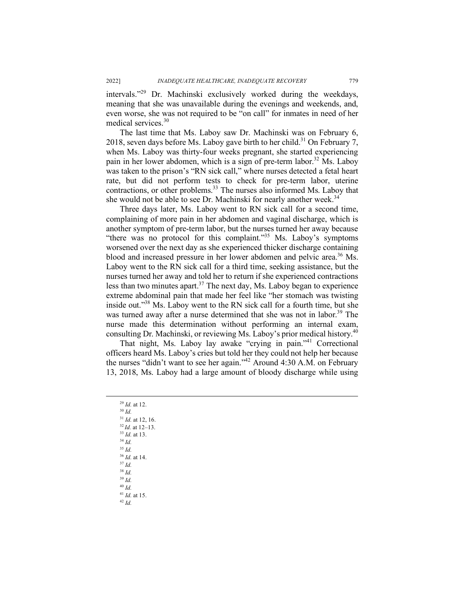intervals."29 Dr. Machinski exclusively worked during the weekdays, meaning that she was unavailable during the evenings and weekends, and, even worse, she was not required to be "on call" for inmates in need of her medical services.<sup>30</sup>

The last time that Ms. Laboy saw Dr. Machinski was on February 6, 2018, seven days before Ms. Laboy gave birth to her child.<sup>31</sup> On February 7, when Ms. Laboy was thirty-four weeks pregnant, she started experiencing pain in her lower abdomen, which is a sign of pre-term labor.<sup>32</sup> Ms. Labov was taken to the prison's "RN sick call," where nurses detected a fetal heart rate, but did not perform tests to check for pre-term labor, uterine contractions, or other problems.<sup>33</sup> The nurses also informed Ms. Laboy that she would not be able to see Dr. Machinski for nearly another week.<sup>34</sup>

Three days later, Ms. Laboy went to RN sick call for a second time, complaining of more pain in her abdomen and vaginal discharge, which is another symptom of pre-term labor, but the nurses turned her away because "there was no protocol for this complaint."35 Ms. Laboy's symptoms worsened over the next day as she experienced thicker discharge containing blood and increased pressure in her lower abdomen and pelvic area.<sup>36</sup> Ms. Laboy went to the  $\overline{RN}$  sick call for a third time, seeking assistance, but the nurses turned her away and told her to return if she experienced contractions less than two minutes apart.<sup>37</sup> The next day, Ms. Laboy began to experience extreme abdominal pain that made her feel like "her stomach was twisting inside out."38 Ms. Laboy went to the RN sick call for a fourth time, but she was turned away after a nurse determined that she was not in labor.<sup>39</sup> The nurse made this determination without performing an internal exam, consulting Dr. Machinski, or reviewing Ms. Laboy's prior medical history.<sup>40</sup>

That night, Ms. Laboy lay awake "crying in pain."41 Correctional officers heard Ms. Laboy's cries but told her they could not help her because the nurses "didn't want to see her again."42 Around 4:30 A.M. on February 13, 2018, Ms. Laboy had a large amount of bloody discharge while using

<sup>29</sup> *Id.* at 12. 30 *Id.* <sup>31</sup> *Id.* at 12, 16. 32 *Id.* at 12–13. <sup>33</sup> *Id.* at 13. <sup>34</sup> *Id.* <sup>35</sup> *Id.* <sup>36</sup> *Id.* at 14. 37 *Id.* <sup>38</sup> *Id.* <sup>39</sup> *Id.* <sup>40</sup> *Id.* <sup>41</sup> *Id.* at 15. <sup>42</sup> *Id.*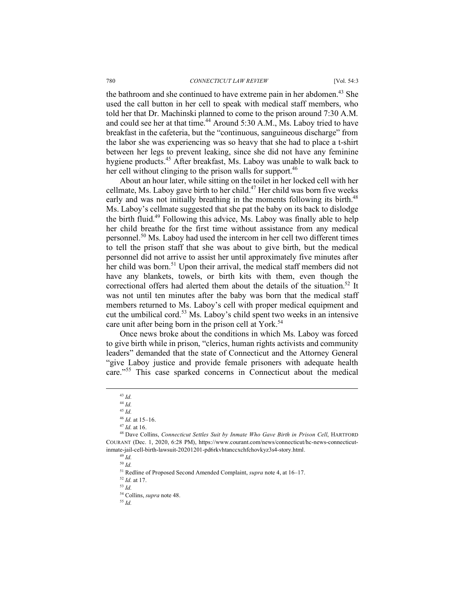the bathroom and she continued to have extreme pain in her abdomen.<sup>43</sup> She used the call button in her cell to speak with medical staff members, who told her that Dr. Machinski planned to come to the prison around 7:30 A.M. and could see her at that time.<sup>44</sup> Around 5:30 A.M., Ms. Laboy tried to have breakfast in the cafeteria, but the "continuous, sanguineous discharge" from the labor she was experiencing was so heavy that she had to place a t-shirt between her legs to prevent leaking, since she did not have any feminine hygiene products.<sup>45</sup> After breakfast, Ms. Laboy was unable to walk back to her cell without clinging to the prison walls for support.<sup>46</sup>

About an hour later, while sitting on the toilet in her locked cell with her cellmate, Ms. Laboy gave birth to her child.<sup>47</sup> Her child was born five weeks early and was not initially breathing in the moments following its birth.<sup>48</sup> Ms. Laboy's cellmate suggested that she pat the baby on its back to dislodge the birth fluid.<sup>49</sup> Following this advice, Ms. Laboy was finally able to help her child breathe for the first time without assistance from any medical personnel. <sup>50</sup> Ms. Laboy had used the intercom in her cell two different times to tell the prison staff that she was about to give birth, but the medical personnel did not arrive to assist her until approximately five minutes after her child was born.<sup>51</sup> Upon their arrival, the medical staff members did not have any blankets, towels, or birth kits with them, even though the correctional offers had alerted them about the details of the situation.<sup>52</sup> It was not until ten minutes after the baby was born that the medical staff members returned to Ms. Laboy's cell with proper medical equipment and cut the umbilical cord.<sup>53</sup> Ms. Laboy's child spent two weeks in an intensive care unit after being born in the prison cell at York.<sup>54</sup>

Once news broke about the conditions in which Ms. Laboy was forced to give birth while in prison, "clerics, human rights activists and community leaders" demanded that the state of Connecticut and the Attorney General "give Laboy justice and provide female prisoners with adequate health care."<sup>55</sup> This case sparked concerns in Connecticut about the medical

 <sup>43</sup> *Id.*

<sup>44</sup> *Id.*

<sup>45</sup> *Id.*

<sup>46</sup> *Id.* at 15–16. 47 *Id.* at 16.

<sup>48</sup> Dave Collins, *Connecticut Settles Suit by Inmate Who Gave Birth in Prison Cell*, HARTFORD COURANT (Dec. 1, 2020, 6:28 PM), https://www.courant.com/news/connecticut/hc-news-connecticutinmate-jail-cell-birth-lawsuit-20201201-pd6rkvhtanccxchfchovkyz3s4-story.html. 49 *Id.*

<sup>50</sup> *Id.* 

<sup>51</sup> Redline of Proposed Second Amended Complaint, *supra* note 4, at 16–17.

<sup>52</sup> *Id.* at 17. 53 *Id.*

<sup>54</sup> Collins, *supra* note 48. 55 *Id.*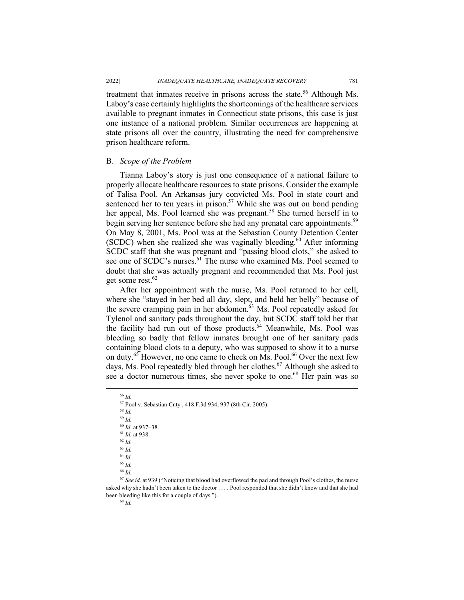treatment that inmates receive in prisons across the state.<sup>56</sup> Although Ms. Laboy's case certainly highlights the shortcomings of the healthcare services available to pregnant inmates in Connecticut state prisons, this case is just one instance of a national problem. Similar occurrences are happening at state prisons all over the country, illustrating the need for comprehensive prison healthcare reform.

#### B. *Scope of the Problem*

Tianna Laboy's story is just one consequence of a national failure to properly allocate healthcare resources to state prisons. Consider the example of Talisa Pool. An Arkansas jury convicted Ms. Pool in state court and sentenced her to ten years in prison.<sup>57</sup> While she was out on bond pending her appeal, Ms. Pool learned she was pregnant.<sup>58</sup> She turned herself in to begin serving her sentence before she had any prenatal care appointments.<sup>59</sup> On May 8, 2001, Ms. Pool was at the Sebastian County Detention Center  $(SCDC)$  when she realized she was vaginally bleeding.<sup>60</sup> After informing SCDC staff that she was pregnant and "passing blood clots," she asked to see one of SCDC's nurses.<sup>61</sup> The nurse who examined Ms. Pool seemed to doubt that she was actually pregnant and recommended that Ms. Pool just get some rest.<sup>62</sup>

After her appointment with the nurse, Ms. Pool returned to her cell, where she "stayed in her bed all day, slept, and held her belly" because of the severe cramping pain in her abdomen.<sup>63</sup> Ms. Pool repeatedly asked for Tylenol and sanitary pads throughout the day, but SCDC staff told her that the facility had run out of those products.<sup>64</sup> Meanwhile, Ms. Pool was bleeding so badly that fellow inmates brought one of her sanitary pads containing blood clots to a deputy, who was supposed to show it to a nurse on duty.<sup>65</sup> However, no one came to check on Ms. Pool.<sup>66</sup> Over the next few days, Ms. Pool repeatedly bled through her clothes.<sup>67</sup> Although she asked to see a doctor numerous times, she never spoke to one. <sup>68</sup> Her pain was so

 56 *Id.* <sup>57</sup> Pool v. Sebastian Cnty., 418 F.3d 934, 937 (8th Cir. 2005). <sup>58</sup> *Id.* <sup>59</sup> *Id.* <sup>60</sup> *Id.* at 937–38. 61 *Id.* at 938. 62 *Id.* <sup>63</sup> *Id.* <sup>64</sup> *Id.* <sup>65</sup> *Id.* <sup>66</sup> *Id.*

<sup>67</sup> *See id.* at 939 ("Noticing that blood had overflowed the pad and through Pool's clothes, the nurse asked why she hadn't been taken to the doctor . . . . Pool responded that she didn't know and that she had been bleeding like this for a couple of days.").<br><sup>68</sup> *Id*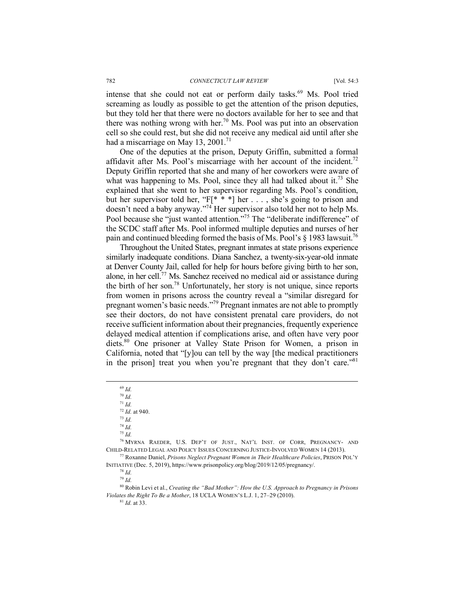intense that she could not eat or perform daily tasks.<sup>69</sup> Ms. Pool tried screaming as loudly as possible to get the attention of the prison deputies, but they told her that there were no doctors available for her to see and that there was nothing wrong with her.<sup>70</sup> Ms. Pool was put into an observation cell so she could rest, but she did not receive any medical aid until after she had a miscarriage on May 13, 2001.<sup>71</sup>

One of the deputies at the prison, Deputy Griffin, submitted a formal affidavit after Ms. Pool's miscarriage with her account of the incident.<sup>72</sup> Deputy Griffin reported that she and many of her coworkers were aware of what was happening to Ms. Pool, since they all had talked about it.<sup>73</sup> She explained that she went to her supervisor regarding Ms. Pool's condition, but her supervisor told her, " $F[* * *]$  her ..., she's going to prison and doesn't need a baby anyway."74 Her supervisor also told her not to help Ms. Pool because she "just wanted attention."<sup>75</sup> The "deliberate indifference" of the SCDC staff after Ms. Pool informed multiple deputies and nurses of her pain and continued bleeding formed the basis of Ms. Pool's  $\frac{8}{3}$  1983 lawsuit.<sup>76</sup>

Throughout the United States, pregnant inmates at state prisons experience similarly inadequate conditions. Diana Sanchez, a twenty-six-year-old inmate at Denver County Jail, called for help for hours before giving birth to her son, alone, in her cell.77 Ms. Sanchez received no medical aid or assistance during the birth of her son. <sup>78</sup> Unfortunately, her story is not unique, since reports from women in prisons across the country reveal a "similar disregard for pregnant women's basic needs."79 Pregnant inmates are not able to promptly see their doctors, do not have consistent prenatal care providers, do not receive sufficient information about their pregnancies, frequently experience delayed medical attention if complications arise, and often have very poor diets.80 One prisoner at Valley State Prison for Women, a prison in California, noted that "[y]ou can tell by the way [the medical practitioners in the prison] treat you when you're pregnant that they don't care."<sup>81</sup>

69 *Id.* 

<sup>70</sup> *Id.*

<sup>71</sup> *Id.*

<sup>72</sup> *Id.* at 940. 73 *Id.*

<sup>74</sup> *Id.*

<sup>75</sup> *Id.*

<sup>76</sup> MYRNA RAEDER, U.S. DEP'T OF JUST., NAT'L INST. OF CORR, PREGNANCY- AND CHILD-RELATED LEGAL AND POLICY ISSUES CONCERNING JUSTICE-INVOLVED WOMEN 14 (2013).

<sup>77</sup> Roxanne Daniel, *Prisons Neglect Pregnant Women in Their Healthcare Policies*, PRISON POL'Y INITIATIVE (Dec. 5, 2019), https://www.prisonpolicy.org/blog/2019/12/05/pregnancy/. 78 *Id.*

<sup>79</sup> *Id.*

<sup>80</sup> Robin Levi et al., *Creating the "Bad Mother": How the U.S. Approach to Pregnancy in Prisons Violates the Right To Be a Mother*, 18 UCLA WOMEN'S L.J. 1, 27–29 (2010). <sup>81</sup> *Id.* at 33.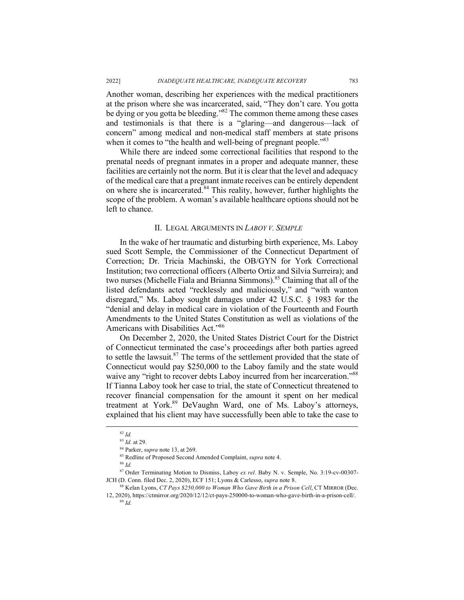Another woman, describing her experiences with the medical practitioners at the prison where she was incarcerated, said, "They don't care. You gotta be dying or you gotta be bleeding."<sup>82</sup> The common theme among these cases and testimonials is that there is a "glaring—and dangerous—lack of concern" among medical and non-medical staff members at state prisons when it comes to "the health and well-being of pregnant people."<sup>83</sup>

While there are indeed some correctional facilities that respond to the prenatal needs of pregnant inmates in a proper and adequate manner, these facilities are certainly not the norm. But it is clear that the level and adequacy of the medical care that a pregnant inmate receives can be entirely dependent on where she is incarcerated.<sup>84</sup> This reality, however, further highlights the scope of the problem. A woman's available healthcare options should not be left to chance.

#### II. LEGAL ARGUMENTS IN *LABOY V. SEMPLE*

In the wake of her traumatic and disturbing birth experience, Ms. Laboy sued Scott Semple, the Commissioner of the Connecticut Department of Correction; Dr. Tricia Machinski, the OB/GYN for York Correctional Institution; two correctional officers (Alberto Ortiz and Silvia Surreira); and two nurses (Michelle Fiala and Brianna Simmons).<sup>85</sup> Claiming that all of the listed defendants acted "recklessly and maliciously," and "with wanton" disregard," Ms. Laboy sought damages under 42 U.S.C. § 1983 for the "denial and delay in medical care in violation of the Fourteenth and Fourth Amendments to the United States Constitution as well as violations of the Americans with Disabilities Act."<sup>86</sup>

On December 2, 2020, the United States District Court for the District of Connecticut terminated the case's proceedings after both parties agreed to settle the lawsuit.<sup>87</sup> The terms of the settlement provided that the state of Connecticut would pay \$250,000 to the Laboy family and the state would waive any "right to recover debts Laboy incurred from her incarceration."<sup>88</sup> If Tianna Laboy took her case to trial, the state of Connecticut threatened to recover financial compensation for the amount it spent on her medical treatment at York.89 DeVaughn Ward, one of Ms. Laboy's attorneys, explained that his client may have successfully been able to take the case to

 $\frac{82}{10}$  *Id.*  $\frac{83}{10}$  at 29

<sup>83</sup> *Id.* at 29. 84 Parker, *supra* note 13, at 269. 85 Redline of Proposed Second Amended Complaint, *supra* note 4.

<sup>86</sup> *Id.*

<sup>87</sup> Order Terminating Motion to Dismiss, Laboy *ex rel.* Baby N. v. Semple, No. 3:19-cv-00307- JCH (D. Conn. filed Dec. 2, 2020), ECF 151; Lyons & Carlesso, *supra* note 8.<br><sup>88</sup> Kelan Lyons, *CT Pays \$250,000 to Woman Who Gave Birth in a Prison Cell*, CT MIRROR (Dec.

<sup>12, 2020),</sup> https://ctmirror.org/2020/12/12/ct-pays-250000-to-woman-who-gave-birth-in-a-prison-cell/.  $89 \overline{1d}$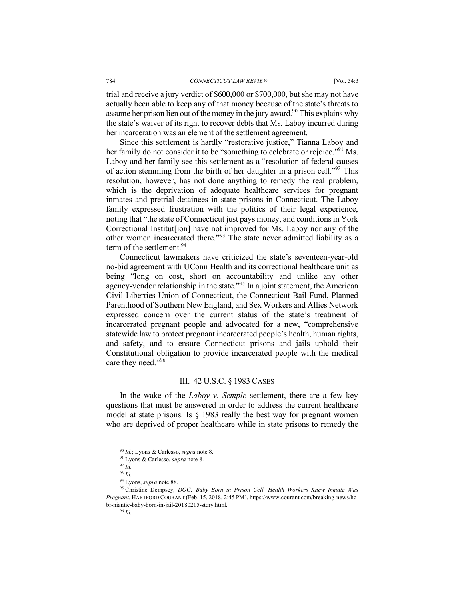trial and receive a jury verdict of \$600,000 or \$700,000, but she may not have actually been able to keep any of that money because of the state's threats to assume her prison lien out of the money in the jury award.<sup>90</sup> This explains why the state's waiver of its right to recover debts that Ms. Laboy incurred during her incarceration was an element of the settlement agreement.

Since this settlement is hardly "restorative justice," Tianna Laboy and her family do not consider it to be "something to celebrate or rejoice."<sup>91</sup> Ms. Laboy and her family see this settlement as a "resolution of federal causes" of action stemming from the birth of her daughter in a prison cell.<sup> $292$ </sup> This resolution, however, has not done anything to remedy the real problem, which is the deprivation of adequate healthcare services for pregnant inmates and pretrial detainees in state prisons in Connecticut. The Laboy family expressed frustration with the politics of their legal experience, noting that "the state of Connecticut just pays money, and conditions in York Correctional Institut[ion] have not improved for Ms. Laboy nor any of the other women incarcerated there."<sup>93</sup> The state never admitted liability as a term of the settlement.<sup>94</sup>

Connecticut lawmakers have criticized the state's seventeen-year-old no-bid agreement with UConn Health and its correctional healthcare unit as being "long on cost, short on accountability and unlike any other agency-vendor relationship in the state."<sup>95</sup> In a joint statement, the American Civil Liberties Union of Connecticut, the Connecticut Bail Fund, Planned Parenthood of Southern New England, and Sex Workers and Allies Network expressed concern over the current status of the state's treatment of incarcerated pregnant people and advocated for a new, "comprehensive statewide law to protect pregnant incarcerated people's health, human rights, and safety, and to ensure Connecticut prisons and jails uphold their Constitutional obligation to provide incarcerated people with the medical care they need."96

## III. 42 U.S.C. § 1983 CASES

In the wake of the *Laboy v. Semple* settlement, there are a few key questions that must be answered in order to address the current healthcare model at state prisons. Is § 1983 really the best way for pregnant women who are deprived of proper healthcare while in state prisons to remedy the

 <sup>90</sup> *Id.*; Lyons & Carlesso, *supra* note 8.

<sup>91</sup> Lyons & Carlesso, *supra* note 8.

 $92 \dot{Id}$ 

<sup>&</sup>lt;sup>93</sup> *Id.*<br><sup>94</sup> Lyons, *supra* note 88.

<sup>&</sup>lt;sup>95</sup> Christine Dempsey, *DOC: Baby Born in Prison Cell, Health Workers Knew Inmate Was Pregnant*, HARTFORD COURANT (Feb. 15, 2018, 2:45 PM), https://www.courant.com/breaking-news/hcbr-niantic-baby-born-in-jail-20180215-story.html.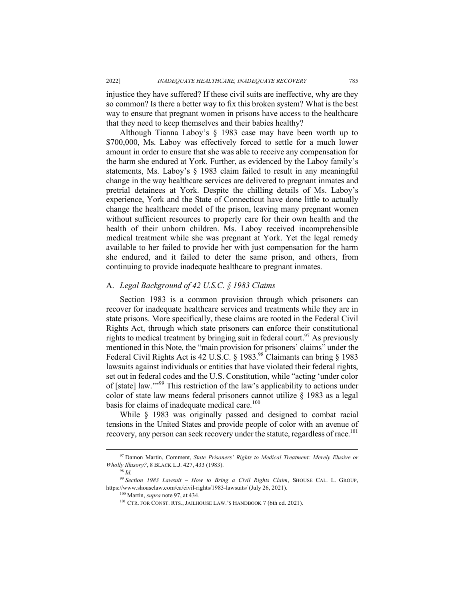2022] *INADEQUATE HEALTHCARE, INADEQUATE RECOVERY* 785

injustice they have suffered? If these civil suits are ineffective, why are they so common? Is there a better way to fix this broken system? What is the best way to ensure that pregnant women in prisons have access to the healthcare that they need to keep themselves and their babies healthy?

Although Tianna Laboy's § 1983 case may have been worth up to \$700,000, Ms. Laboy was effectively forced to settle for a much lower amount in order to ensure that she was able to receive any compensation for the harm she endured at York. Further, as evidenced by the Laboy family's statements, Ms. Laboy's § 1983 claim failed to result in any meaningful change in the way healthcare services are delivered to pregnant inmates and pretrial detainees at York. Despite the chilling details of Ms. Laboy's experience, York and the State of Connecticut have done little to actually change the healthcare model of the prison, leaving many pregnant women without sufficient resources to properly care for their own health and the health of their unborn children. Ms. Laboy received incomprehensible medical treatment while she was pregnant at York. Yet the legal remedy available to her failed to provide her with just compensation for the harm she endured, and it failed to deter the same prison, and others, from continuing to provide inadequate healthcare to pregnant inmates.

#### A. *Legal Background of 42 U.S.C. § 1983 Claims*

Section 1983 is a common provision through which prisoners can recover for inadequate healthcare services and treatments while they are in state prisons. More specifically, these claims are rooted in the Federal Civil Rights Act, through which state prisoners can enforce their constitutional rights to medical treatment by bringing suit in federal court.<sup>97</sup> As previously mentioned in this Note, the "main provision for prisoners' claims" under the Federal Civil Rights Act is 42 U.S.C. § 1983.<sup>98</sup> Claimants can bring § 1983 lawsuits against individuals or entities that have violated their federal rights, set out in federal codes and the U.S. Constitution, while "acting 'under color of [state] law.'"<sup>99</sup> This restriction of the law's applicability to actions under color of state law means federal prisoners cannot utilize § 1983 as a legal basis for claims of inadequate medical care.<sup>100</sup>

While § 1983 was originally passed and designed to combat racial tensions in the United States and provide people of color with an avenue of recovery, any person can seek recovery under the statute, regardless of race.<sup>101</sup>

 <sup>97</sup> Damon Martin, Comment, *State Prisoners' Rights to Medical Treatment: Merely Elusive or Wholly Illusory?*, 8 BLACK L.J. 427, 433 (1983).

 $98$  *Id.* 

<sup>99</sup> *Section 1983 Lawsuit – How to Bring a Civil Rights Claim*, SHOUSE CAL. L. GROUP, https://www.shouselaw.com/ca/civil-rights/1983-lawsuits/ (July 26, 2021). 100 Martin, *supra* note 97, at 434.

<sup>&</sup>lt;sup>101</sup> CTR. FOR CONST. RTS., JAILHOUSE LAW.'S HANDBOOK 7 (6th ed. 2021).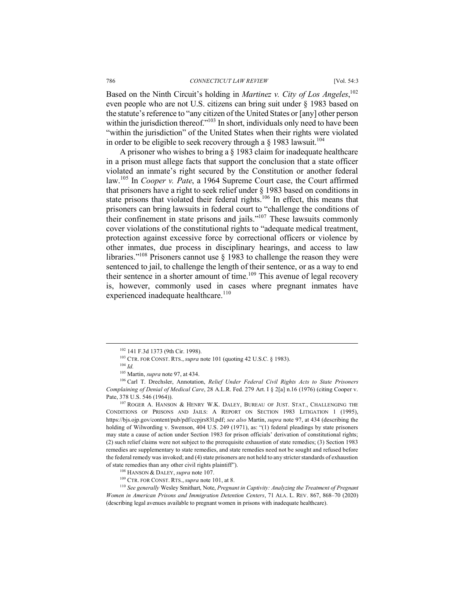Based on the Ninth Circuit's holding in *Martinez v. City of Los Angeles*, 102 even people who are not U.S. citizens can bring suit under § 1983 based on the statute's reference to "any citizen of the United States or [any] other person within the jurisdiction thereof."<sup>103</sup> In short, individuals only need to have been "within the jurisdiction" of the United States when their rights were violated in order to be eligible to seek recovery through a  $\S$  1983 lawsuit.<sup>104</sup>

A prisoner who wishes to bring a § 1983 claim for inadequate healthcare in a prison must allege facts that support the conclusion that a state officer violated an inmate's right secured by the Constitution or another federal law.<sup>105</sup> In *Cooper v. Pate*, a 1964 Supreme Court case, the Court affirmed that prisoners have a right to seek relief under § 1983 based on conditions in state prisons that violated their federal rights.<sup>106</sup> In effect, this means that prisoners can bring lawsuits in federal court to "challenge the conditions of their confinement in state prisons and jails."<sup>107</sup> These lawsuits commonly cover violations of the constitutional rights to "adequate medical treatment, protection against excessive force by correctional officers or violence by other inmates, due process in disciplinary hearings, and access to law libraries."<sup>108</sup> Prisoners cannot use § 1983 to challenge the reason they were sentenced to jail, to challenge the length of their sentence, or as a way to end their sentence in a shorter amount of time.109 This avenue of legal recovery is, however, commonly used in cases where pregnant inmates have experienced inadequate healthcare.<sup>110</sup>

<sup>105</sup> Martin, *supra* note 97, at 434.<br><sup>106</sup> Carl T. Drechsler, Annotation, *Relief Under Federal Civil Rights Acts to State Prisoners Complaining of Denial of Medical Care*, 28 A.L.R. Fed. 279 Art. I § 2[a] n.16 (1976) (citing Cooper v. Pate, 378 U.S. 546 (1964)).

<sup>107</sup> ROGER A. HANSON & HENRY W.K. DALEY, BUREAU OF JUST. STAT., CHALLENGING THE CONDITIONS OF PRISONS AND JAILS: A REPORT ON SECTION 1983 LITIGATION 1 (1995), https://bjs.ojp.gov/content/pub/pdf/ccpjrs83l.pdf; *see also* Martin, *supra* note 97, at 434 (describing the holding of Wilwording v. Swenson, 404 U.S. 249 (1971), as: "(1) federal pleadings by state prisoners may state a cause of action under Section 1983 for prison officials' derivation of constitutional rights; (2) such relief claims were not subject to the prerequisite exhaustion of state remedies; (3) Section 1983 remedies are supplementary to state remedies, and state remedies need not be sought and refused before the federal remedy was invoked; and (4) state prisoners are not held to any stricter standards of exhaustion of state remedies than any other civil rights plaintiff").

<sup>110</sup> *See generally* Wesley Smithart, Note, *Pregnant in Captivity: Analyzing the Treatment of Pregnant Women in American Prisons and Immigration Detention Centers*, 71 ALA. L. REV. 867, 868–70 (2020) (describing legal avenues available to pregnant women in prisons with inadequate healthcare).

<sup>102 141</sup> F.3d 1373 (9th Cir. 1998). <sup>103</sup> CTR. FOR CONST. RTS., *supra* note 101 (quoting 42 U.S.C. § 1983). <sup>104</sup> *Id* 

<sup>108</sup> HANSON & DALEY, *supra* note 107.

<sup>109</sup> CTR. FOR CONST. RTS., *supra* note 101, at 8.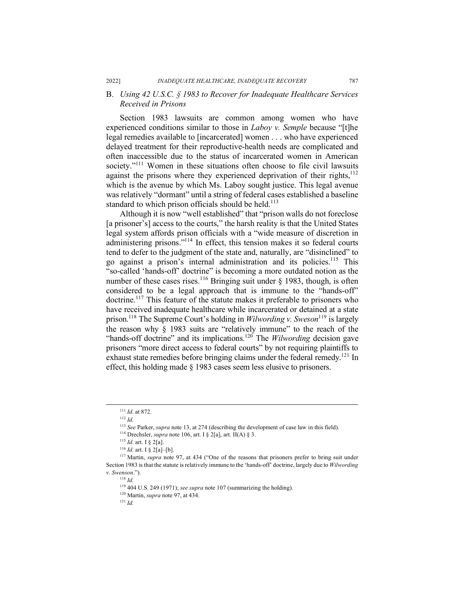# B. *Using 42 U.S.C. § 1983 to Recover for Inadequate Healthcare Services Received in Prisons*

Section 1983 lawsuits are common among women who have experienced conditions similar to those in *Laboy v. Semple* because "[t]he legal remedies available to [incarcerated] women . . . who have experienced delayed treatment for their reproductive-health needs are complicated and often inaccessible due to the status of incarcerated women in American society."<sup>111</sup> Women in these situations often choose to file civil lawsuits against the prisons where they experienced deprivation of their rights,  $112$ which is the avenue by which Ms. Laboy sought justice. This legal avenue was relatively "dormant" until a string of federal cases established a baseline standard to which prison officials should be held.<sup>113</sup>

Although it is now "well established" that "prison walls do not foreclose [a prisoner's] access to the courts," the harsh reality is that the United States legal system affords prison officials with a "wide measure of discretion in administering prisons."114 In effect, this tension makes it so federal courts tend to defer to the judgment of the state and, naturally, are "disinclined" to go against a prison's internal administration and its policies.115 This "so-called 'hands-off' doctrine" is becoming a more outdated notion as the number of these cases rises.<sup>116</sup> Bringing suit under  $\S$  1983, though, is often considered to be a legal approach that is immune to the "hands-off" doctrine.<sup>117</sup> This feature of the statute makes it preferable to prisoners who have received inadequate healthcare while incarcerated or detained at a state prison.118 The Supreme Court's holding in *Wilwording v. Sweson*<sup>119</sup> is largely the reason why § 1983 suits are "relatively immune" to the reach of the "hands-off doctrine" and its implications.120 The *Wilwording* decision gave prisoners "more direct access to federal courts" by not requiring plaintiffs to exhaust state remedies before bringing claims under the federal remedy.<sup>121</sup> In effect, this holding made § 1983 cases seem less elusive to prisoners.

<sup>116</sup> *Id.* art. I § 2[a]–[b].

 <sup>111</sup> *Id.* at 872.

<sup>112</sup> *Id.*

<sup>113</sup> *See* Parker, *supra* note 13, at 274 (describing the development of case law in this field). 114 Drechsler, *supra* note 106, art. I § 2[a], art. II(A) § 3.

 $^{115}$  *Id.* art. I § 2[a].

<sup>&</sup>lt;sup>117</sup> Martin, *supra* note 97, at 434 ("One of the reasons that prisoners prefer to bring suit under Section 1983 is that the statute is relatively immune to the 'hands-off' doctrine, largely due to *Wilwording v. Swenson*.").

<sup>118</sup> *Id.*

<sup>119</sup> 404 U.S. 249 (1971); *see supra* note 107 (summarizing the holding).

<sup>120</sup> Martin, *supra* note 97, at 434.

 $121$  *Id.*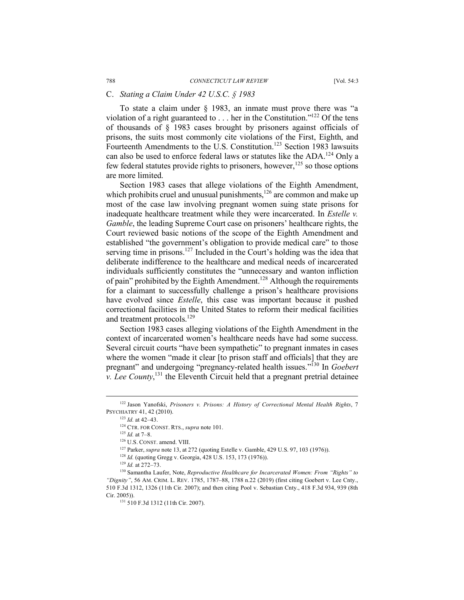## C. *Stating a Claim Under 42 U.S.C. § 1983*

To state a claim under § 1983, an inmate must prove there was "a violation of a right guaranteed to . . . her in the Constitution."122 Of the tens of thousands of § 1983 cases brought by prisoners against officials of prisons, the suits most commonly cite violations of the First, Eighth, and Fourteenth Amendments to the U.S. Constitution.<sup>123</sup> Section 1983 lawsuits can also be used to enforce federal laws or statutes like the ADA.124 Only a few federal statutes provide rights to prisoners, however,  $125$  so those options are more limited.

Section 1983 cases that allege violations of the Eighth Amendment, which prohibits cruel and unusual punishments, $126$  are common and make up most of the case law involving pregnant women suing state prisons for inadequate healthcare treatment while they were incarcerated. In *Estelle v. Gamble*, the leading Supreme Court case on prisoners' healthcare rights, the Court reviewed basic notions of the scope of the Eighth Amendment and established "the government's obligation to provide medical care" to those serving time in prisons.<sup>127</sup> Included in the Court's holding was the idea that deliberate indifference to the healthcare and medical needs of incarcerated individuals sufficiently constitutes the "unnecessary and wanton infliction of pain" prohibited by the Eighth Amendment.<sup>128</sup> Although the requirements for a claimant to successfully challenge a prison's healthcare provisions have evolved since *Estelle*, this case was important because it pushed correctional facilities in the United States to reform their medical facilities and treatment protocols.<sup>129</sup>

Section 1983 cases alleging violations of the Eighth Amendment in the context of incarcerated women's healthcare needs have had some success. Several circuit courts "have been sympathetic" to pregnant inmates in cases where the women "made it clear [to prison staff and officials] that they are pregnant" and undergoing "pregnancy-related health issues."130 In *Goebert v. Lee County*,<sup>131</sup>, the Eleventh Circuit held that a pregnant pretrial detainee

 <sup>122</sup> Jason Yanofski, *Prisoners v. Prisons: A History of Correctional Mental Health Rights*, 7 PSYCHIATRY 41, 42 (2010). 123 *Id.* at 42–43. 124 CTR. FOR CONST. RTS., *supra* note 101.

<sup>125</sup> *Id.* at 7–8.

<sup>&</sup>lt;sup>126</sup> U.S. CONST. amend. VIII.<br><sup>127</sup> Parker, *supra* note 13, at 272 (quoting Estelle v. Gamble, 429 U.S. 97, 103 (1976)).<br><sup>128</sup> *Id.* (quoting Gregg v. Georgia, 428 U.S. 153, 173 (1976)).

<sup>129</sup> *Id.* at 272–73.

<sup>130</sup> Samantha Laufer, Note, *Reproductive Healthcare for Incarcerated Women: From "Rights" to "Dignity"*, 56 AM. CRIM. L. REV. 1785, 1787–88, 1788 n.22 (2019) (first citing Goebert v. Lee Cnty., 510 F.3d 1312, 1326 (11th Cir. 2007); and then citing Pool v. Sebastian Cnty., 418 F.3d 934, 939 (8th Cir. 2005)). 131 510 F.3d 1312 (11th Cir. 2007).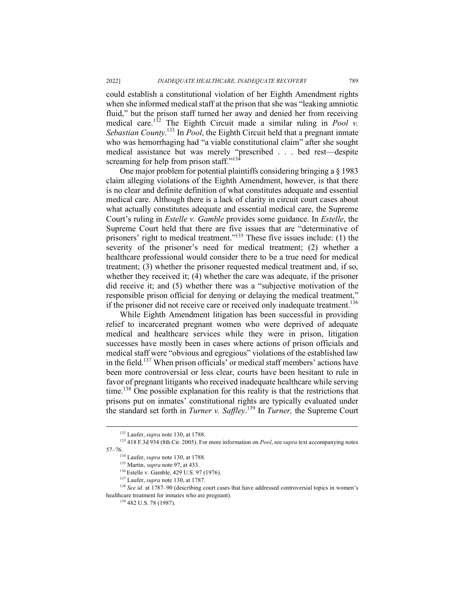could establish a constitutional violation of her Eighth Amendment rights when she informed medical staff at the prison that she was "leaking amniotic fluid," but the prison staff turned her away and denied her from receiving medical care.<sup>132</sup> The Eighth Circuit made a similar ruling in *Pool v. Sebastian County*. <sup>133</sup> In *Pool*, the Eighth Circuit held that a pregnant inmate who was hemorrhaging had "a viable constitutional claim" after she sought medical assistance but was merely "prescribed . . . bed rest—despite screaming for help from prison staff."<sup>134</sup>

One major problem for potential plaintiffs considering bringing a § 1983 claim alleging violations of the Eighth Amendment, however, is that there is no clear and definite definition of what constitutes adequate and essential medical care. Although there is a lack of clarity in circuit court cases about what actually constitutes adequate and essential medical care, the Supreme Court's ruling in *Estelle v. Gamble* provides some guidance. In *Estelle*, the Supreme Court held that there are five issues that are "determinative of prisoners' right to medical treatment."135 These five issues include: (1) the severity of the prisoner's need for medical treatment; (2) whether a healthcare professional would consider there to be a true need for medical treatment; (3) whether the prisoner requested medical treatment and, if so, whether they received it; (4) whether the care was adequate, if the prisoner did receive it; and (5) whether there was a "subjective motivation of the responsible prison official for denying or delaying the medical treatment," if the prisoner did not receive care or received only inadequate treatment.<sup>136</sup>

While Eighth Amendment litigation has been successful in providing relief to incarcerated pregnant women who were deprived of adequate medical and healthcare services while they were in prison, litigation successes have mostly been in cases where actions of prison officials and medical staff were "obvious and egregious" violations of the established law in the field.137 When prison officials' or medical staff members' actions have been more controversial or less clear, courts have been hesitant to rule in favor of pregnant litigants who received inadequate healthcare while serving time.138 One possible explanation for this reality is that the restrictions that prisons put on inmates' constitutional rights are typically evaluated under the standard set forth in *Turner v. Saffley*. <sup>139</sup> In *Turner,* the Supreme Court

<sup>&</sup>lt;sup>132</sup> Laufer, *supra* note 130, at 1788.<br><sup>133</sup> 418 F.3d 934 (8th Cir. 2005). For more information on *Pool*, see *supra* text accompanying notes 57–76.<br><sup>134</sup> Laufer, *supra* note 130, at 1788.

<sup>&</sup>lt;sup>135</sup> Martin, *supra* note 97, at 433.

<sup>&</sup>lt;sup>136</sup> Estelle v. Gamble, 429 U.S. 97 (1976).<br><sup>137</sup> Laufer, *supra* note 130, at 1787.<br><sup>138</sup> *See id.* at 1787–90 (describing court cases that have addressed controversial topics in women's healthcare treatment for inmates who are pregnant).<br><sup>139</sup> 482 U.S. 78 (1987).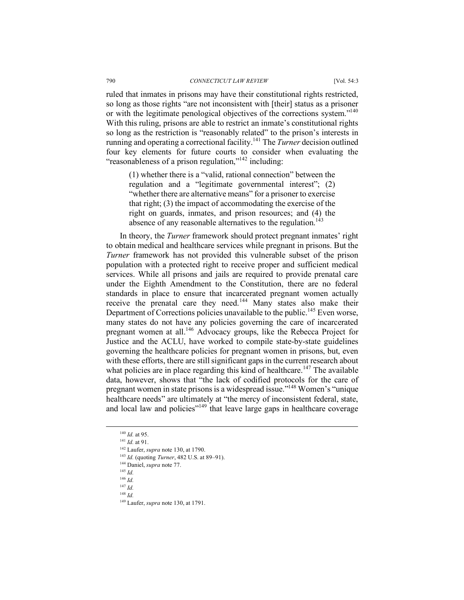ruled that inmates in prisons may have their constitutional rights restricted, so long as those rights "are not inconsistent with [their] status as a prisoner or with the legitimate penological objectives of the corrections system."140 With this ruling, prisons are able to restrict an inmate's constitutional rights so long as the restriction is "reasonably related" to the prison's interests in running and operating a correctional facility.141 The *Turner* decision outlined four key elements for future courts to consider when evaluating the "reasonableness of a prison regulation,"142 including:

(1) whether there is a "valid, rational connection" between the regulation and a "legitimate governmental interest"; (2) "whether there are alternative means" for a prisoner to exercise that right; (3) the impact of accommodating the exercise of the right on guards, inmates, and prison resources; and (4) the absence of any reasonable alternatives to the regulation.<sup>143</sup>

In theory, the *Turner* framework should protect pregnant inmates' right to obtain medical and healthcare services while pregnant in prisons. But the *Turner* framework has not provided this vulnerable subset of the prison population with a protected right to receive proper and sufficient medical services. While all prisons and jails are required to provide prenatal care under the Eighth Amendment to the Constitution, there are no federal standards in place to ensure that incarcerated pregnant women actually receive the prenatal care they need.<sup>144</sup> Many states also make their Department of Corrections policies unavailable to the public.<sup>145</sup> Even worse, many states do not have any policies governing the care of incarcerated pregnant women at all.146 Advocacy groups, like the Rebecca Project for Justice and the ACLU, have worked to compile state-by-state guidelines governing the healthcare policies for pregnant women in prisons, but, even with these efforts, there are still significant gaps in the current research about what policies are in place regarding this kind of healthcare.<sup>147</sup> The available data, however, shows that "the lack of codified protocols for the care of pregnant women in state prisons is a widespread issue."148 Women's "unique healthcare needs" are ultimately at "the mercy of inconsistent federal, state, and local law and policies"<sup>149</sup> that leave large gaps in healthcare coverage

- <sup>147</sup> *Id.*
- <sup>148</sup> *Id.*

<sup>&</sup>lt;sup>140</sup> *Id.* at 95.<br><sup>141</sup> *Id.* at 91.<br><sup>142</sup> Laufer, *supra* note 130, at 1790.<br><sup>143</sup> *Id.* (quoting *Turner*, 482 U.S. at 89–91).<br><sup>144</sup> Daniel, *supra* note 77.<br><sup>145</sup> *Id* 

<sup>146</sup> *Id.*

<sup>149</sup> Laufer, *supra* note 130, at 1791.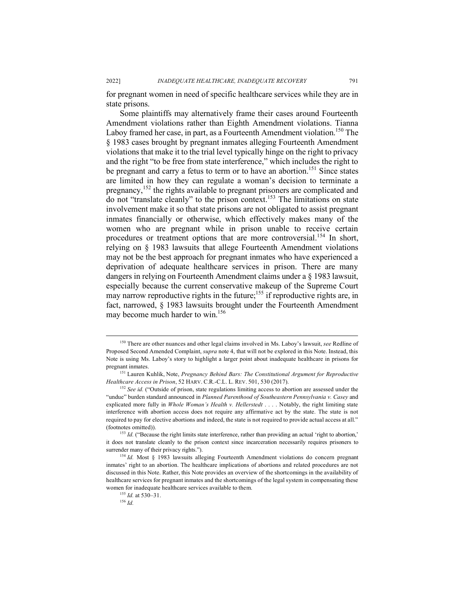for pregnant women in need of specific healthcare services while they are in state prisons.

Some plaintiffs may alternatively frame their cases around Fourteenth Amendment violations rather than Eighth Amendment violations. Tianna Laboy framed her case, in part, as a Fourteenth Amendment violation.<sup>150</sup> The § 1983 cases brought by pregnant inmates alleging Fourteenth Amendment violations that make it to the trial level typically hinge on the right to privacy and the right "to be free from state interference," which includes the right to be pregnant and carry a fetus to term or to have an abortion.<sup>151</sup> Since states are limited in how they can regulate a woman's decision to terminate a pregnancy,<sup>152</sup> the rights available to pregnant prisoners are complicated and do not "translate cleanly" to the prison context.153 The limitations on state involvement make it so that state prisons are not obligated to assist pregnant inmates financially or otherwise, which effectively makes many of the women who are pregnant while in prison unable to receive certain procedures or treatment options that are more controversial.<sup>154</sup> In short, relying on § 1983 lawsuits that allege Fourteenth Amendment violations may not be the best approach for pregnant inmates who have experienced a deprivation of adequate healthcare services in prison. There are many dangers in relying on Fourteenth Amendment claims under a § 1983 lawsuit, especially because the current conservative makeup of the Supreme Court may narrow reproductive rights in the future;<sup>155</sup> if reproductive rights are, in fact, narrowed, § 1983 lawsuits brought under the Fourteenth Amendment may become much harder to win. 156

 <sup>150</sup> There are other nuances and other legal claims involved in Ms. Laboy's lawsuit, *see* Redline of Proposed Second Amended Complaint, *supra* note 4, that will not be explored in this Note. Instead, this Note is using Ms. Laboy's story to highlight a larger point about inadequate healthcare in prisons for

<sup>&</sup>lt;sup>151</sup> Lauren Kuhlik, Note, *Pregnancy Behind Bars: The Constitutional Argument for Reproductive Healthcare Access in Prison*, 52 HARV. C.R.-C.L. L. REV. 501, 530 (2017).

<sup>152</sup> *See id.* ("Outside of prison, state regulations limiting access to abortion are assessed under the "undue" burden standard announced in *Planned Parenthood of Southeastern Pennsylvania v. Casey* and explicated more fully in *Whole Woman's Health v. Hellerstedt* . . . . Notably, the right limiting state interference with abortion access does not require any affirmative act by the state. The state is not required to pay for elective abortions and indeed, the state is not required to provide actual access at all." (footnotes omitted)).

<sup>&</sup>lt;sup>153</sup> *Id.* ("Because the right limits state interference, rather than providing an actual 'right to abortion,' it does not translate cleanly to the prison context since incarceration necessarily requires prisoners to surrender many of their privacy rights.").<br><sup>154</sup> *Id.* Most § 1983 lawsuits alleging Fourteenth Amendment violations do concern pregnant

inmates' right to an abortion. The healthcare implications of abortions and related procedures are not discussed in this Note. Rather, this Note provides an overview of the shortcomings in the availability of healthcare services for pregnant inmates and the shortcomings of the legal system in compensating these women for inadequate healthcare services available to them.<br><sup>155</sup> *Id.* at 530–31.<br><sup>156</sup> *Id*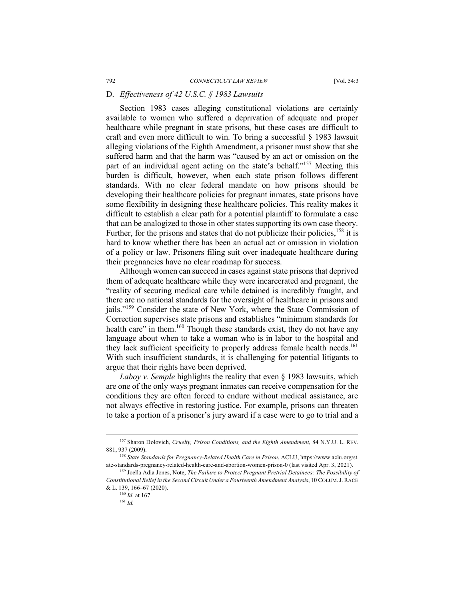## D. *Effectiveness of 42 U.S.C. § 1983 Lawsuits*

Section 1983 cases alleging constitutional violations are certainly available to women who suffered a deprivation of adequate and proper healthcare while pregnant in state prisons, but these cases are difficult to craft and even more difficult to win. To bring a successful § 1983 lawsuit alleging violations of the Eighth Amendment, a prisoner must show that she suffered harm and that the harm was "caused by an act or omission on the part of an individual agent acting on the state's behalf."<sup>157</sup> Meeting this burden is difficult, however, when each state prison follows different standards. With no clear federal mandate on how prisons should be developing their healthcare policies for pregnant inmates, state prisons have some flexibility in designing these healthcare policies. This reality makes it difficult to establish a clear path for a potential plaintiff to formulate a case that can be analogized to those in other states supporting its own case theory. Further, for the prisons and states that do not publicize their policies,  $158$  it is hard to know whether there has been an actual act or omission in violation of a policy or law. Prisoners filing suit over inadequate healthcare during their pregnancies have no clear roadmap for success.

Although women can succeed in cases against state prisons that deprived them of adequate healthcare while they were incarcerated and pregnant, the "reality of securing medical care while detained is incredibly fraught, and there are no national standards for the oversight of healthcare in prisons and jails."159 Consider the state of New York, where the State Commission of Correction supervises state prisons and establishes "minimum standards for health care" in them.<sup>160</sup> Though these standards exist, they do not have any language about when to take a woman who is in labor to the hospital and they lack sufficient specificity to properly address female health needs.<sup>161</sup> With such insufficient standards, it is challenging for potential litigants to argue that their rights have been deprived.

*Laboy v. Semple* highlights the reality that even § 1983 lawsuits, which are one of the only ways pregnant inmates can receive compensation for the conditions they are often forced to endure without medical assistance, are not always effective in restoring justice. For example, prisons can threaten to take a portion of a prisoner's jury award if a case were to go to trial and a

 <sup>157</sup> Sharon Dolovich, *Cruelty, Prison Conditions, and the Eighth Amendment*, <sup>84</sup> N.Y.U. L. REV*.*  881, 937 (2009). 158 *State Standards for Pregnancy-Related Health Care in Prison*, ACLU, https://www.aclu.org/st

ate-standards-pregnancy-related-health-care-and-abortion-women-prison-0 (last visited Apr. 3, 2021). 159 Joella Adia Jones, Note, *The Failure to Protect Pregnant Pretrial Detainees: The Possibility of* 

*Constitutional Relief in the Second Circuit Under a Fourteenth Amendment Analysis*, 10 COLUM.J. RACE & L. 139, 166–67 (2020).

<sup>160</sup> *Id.* at 167.

<sup>161</sup> *Id.*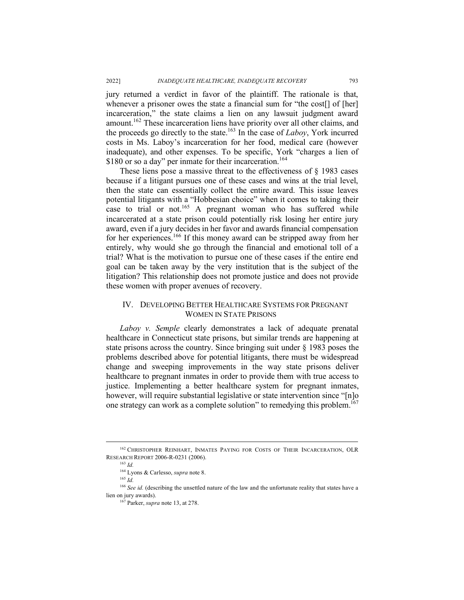jury returned a verdict in favor of the plaintiff. The rationale is that, whenever a prisoner owes the state a financial sum for "the cost[] of [her] incarceration," the state claims a lien on any lawsuit judgment award amount.162 These incarceration liens have priority over all other claims, and the proceeds go directly to the state.163 In the case of *Laboy*, York incurred costs in Ms. Laboy's incarceration for her food, medical care (however inadequate), and other expenses. To be specific, York "charges a lien of \$180 or so a day" per inmate for their incarceration.<sup>164</sup>

These liens pose a massive threat to the effectiveness of § 1983 cases because if a litigant pursues one of these cases and wins at the trial level, then the state can essentially collect the entire award. This issue leaves potential litigants with a "Hobbesian choice" when it comes to taking their case to trial or not.<sup>165</sup> A pregnant woman who has suffered while incarcerated at a state prison could potentially risk losing her entire jury award, even if a jury decides in her favor and awards financial compensation for her experiences.<sup>166</sup> If this money award can be stripped away from her entirely, why would she go through the financial and emotional toll of a trial? What is the motivation to pursue one of these cases if the entire end goal can be taken away by the very institution that is the subject of the litigation? This relationship does not promote justice and does not provide these women with proper avenues of recovery.

# IV. DEVELOPING BETTER HEALTHCARE SYSTEMS FOR PREGNANT WOMEN IN STATE PRISONS

*Laboy v. Semple* clearly demonstrates a lack of adequate prenatal healthcare in Connecticut state prisons, but similar trends are happening at state prisons across the country. Since bringing suit under § 1983 poses the problems described above for potential litigants, there must be widespread change and sweeping improvements in the way state prisons deliver healthcare to pregnant inmates in order to provide them with true access to justice. Implementing a better healthcare system for pregnant inmates, however, will require substantial legislative or state intervention since "[n]o one strategy can work as a complete solution" to remedying this problem.167

<sup>&</sup>lt;sup>162</sup> CHRISTOPHER REINHART, INMATES PAYING FOR COSTS OF THEIR INCARCERATION, OLR RESEARCH REPORT 2006-R-0231 (2006). 163 *Id.* 

<sup>164</sup> Lyons & Carlesso, *supra* note 8. 165 *Id.*

<sup>&</sup>lt;sup>166</sup> *See id.* (describing the unsettled nature of the law and the unfortunate reality that states have a lien on jury awards). 167 Parker, *supra* note 13, at 278.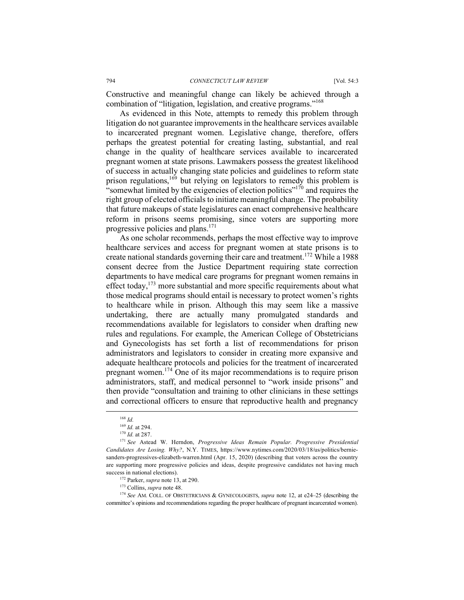Constructive and meaningful change can likely be achieved through a combination of "litigation, legislation, and creative programs."168

As evidenced in this Note, attempts to remedy this problem through litigation do not guarantee improvements in the healthcare services available to incarcerated pregnant women. Legislative change, therefore, offers perhaps the greatest potential for creating lasting, substantial, and real change in the quality of healthcare services available to incarcerated pregnant women at state prisons. Lawmakers possess the greatest likelihood of success in actually changing state policies and guidelines to reform state prison regulations,<sup>169</sup> but relying on legislators to remedy this problem is "somewhat limited by the exigencies of election politics"<sup>170</sup> and requires the right group of elected officials to initiate meaningful change. The probability that future makeups of state legislatures can enact comprehensive healthcare reform in prisons seems promising, since voters are supporting more progressive policies and plans.171

As one scholar recommends, perhaps the most effective way to improve healthcare services and access for pregnant women at state prisons is to create national standards governing their care and treatment.<sup>172</sup> While a 1988 consent decree from the Justice Department requiring state correction departments to have medical care programs for pregnant women remains in effect today, $173$  more substantial and more specific requirements about what those medical programs should entail is necessary to protect women's rights to healthcare while in prison. Although this may seem like a massive undertaking, there are actually many promulgated standards and recommendations available for legislators to consider when drafting new rules and regulations. For example, the American College of Obstetricians and Gynecologists has set forth a list of recommendations for prison administrators and legislators to consider in creating more expansive and adequate healthcare protocols and policies for the treatment of incarcerated pregnant women.<sup>174</sup> One of its major recommendations is to require prison administrators, staff, and medical personnel to "work inside prisons" and then provide "consultation and training to other clinicians in these settings and correctional officers to ensure that reproductive health and pregnancy

<sup>&</sup>lt;sup>168</sup> *Id.* 169 *Id.* at 294.

<sup>&</sup>lt;sup>170</sup> *Id.* at 287.<br><sup>171</sup> See Astead W. Herndon, *Progressive Ideas Remain Popular. Progressive Presidential Candidates Are Losing. Why?*, N.Y. TIMES, https://www.nytimes.com/2020/03/18/us/politics/berniesanders-progressives-elizabeth-warren.html (Apr. 15, 2020) (describing that voters across the country are supporting more progressive policies and ideas, despite progressive candidates not having much success in national elections).<br><sup>172</sup> Parker, *supra* note 13, at 290.<br><sup>173</sup> Collins, *supra* note 48.

<sup>174</sup> *See* AM. COLL. OF OBSTETRICIANS & GYNECOLOGISTS, *supra* note 12, at e24–25 (describing the committee's opinions and recommendations regarding the proper healthcare of pregnant incarcerated women).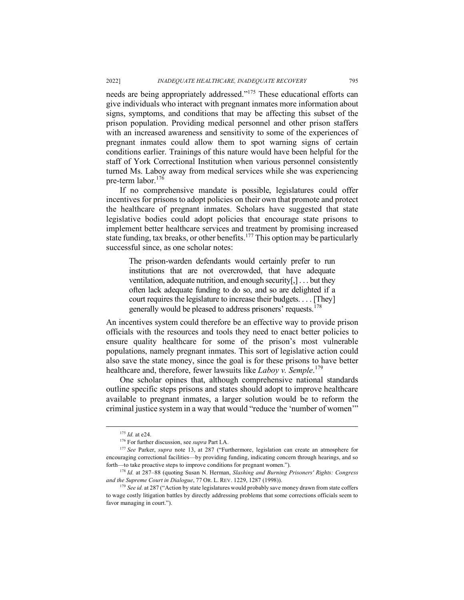needs are being appropriately addressed."175 These educational efforts can give individuals who interact with pregnant inmates more information about signs, symptoms, and conditions that may be affecting this subset of the prison population. Providing medical personnel and other prison staffers with an increased awareness and sensitivity to some of the experiences of pregnant inmates could allow them to spot warning signs of certain conditions earlier. Trainings of this nature would have been helpful for the staff of York Correctional Institution when various personnel consistently turned Ms. Laboy away from medical services while she was experiencing pre-term labor. 176

If no comprehensive mandate is possible, legislatures could offer incentives for prisons to adopt policies on their own that promote and protect the healthcare of pregnant inmates. Scholars have suggested that state legislative bodies could adopt policies that encourage state prisons to implement better healthcare services and treatment by promising increased state funding, tax breaks, or other benefits.<sup>177</sup> This option may be particularly successful since, as one scholar notes:

The prison-warden defendants would certainly prefer to run institutions that are not overcrowded, that have adequate ventilation, adequate nutrition, and enough security[,] . . . but they often lack adequate funding to do so, and so are delighted if a court requires the legislature to increase their budgets. . . . [They] generally would be pleased to address prisoners' requests.<sup>178</sup>

An incentives system could therefore be an effective way to provide prison officials with the resources and tools they need to enact better policies to ensure quality healthcare for some of the prison's most vulnerable populations, namely pregnant inmates. This sort of legislative action could also save the state money, since the goal is for these prisons to have better healthcare and, therefore, fewer lawsuits like *Laboy v. Semple*. 179

One scholar opines that, although comprehensive national standards outline specific steps prisons and states should adopt to improve healthcare available to pregnant inmates, a larger solution would be to reform the criminal justice system in a way that would "reduce the 'number of women'"

<sup>&</sup>lt;sup>175</sup> *Id.* at e24.<br><sup>176</sup> For further discussion, see *supra* Part I.A.

<sup>177</sup> *See* Parker, *supra* note 13, at 287 ("Furthermore, legislation can create an atmosphere for encouraging correctional facilities—by providing funding, indicating concern through hearings, and so forth—to take proactive steps to improve conditions for pregnant women.").

<sup>178</sup> *Id.* at 287–88 (quoting Susan N. Herman, *Slashing and Burning Prisoners' Rights: Congress and the Supreme Court in Dialogue*, 77 OR. L. REV. 1229, 1287 (1998)).<br><sup>179</sup> *See id.* at 287 ("Action by state legislatures would probably save money drawn from state coffers

to wage costly litigation battles by directly addressing problems that some corrections officials seem to favor managing in court.").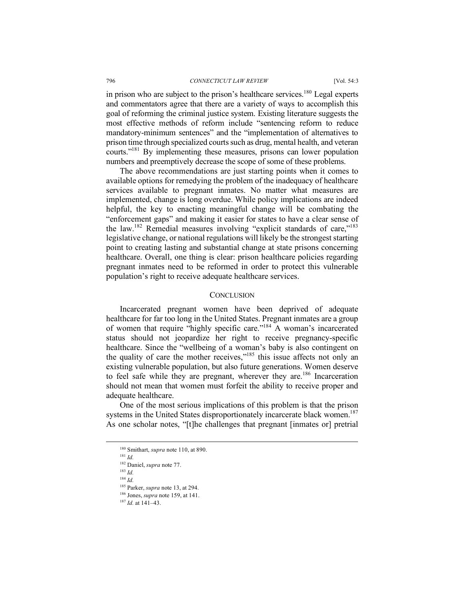in prison who are subject to the prison's healthcare services.<sup>180</sup> Legal experts and commentators agree that there are a variety of ways to accomplish this goal of reforming the criminal justice system. Existing literature suggests the most effective methods of reform include "sentencing reform to reduce mandatory-minimum sentences" and the "implementation of alternatives to prison time through specialized courts such as drug, mental health, and veteran courts."<sup>181</sup> By implementing these measures, prisons can lower population numbers and preemptively decrease the scope of some of these problems.

The above recommendations are just starting points when it comes to available options for remedying the problem of the inadequacy of healthcare services available to pregnant inmates. No matter what measures are implemented, change is long overdue. While policy implications are indeed helpful, the key to enacting meaningful change will be combating the "enforcement gaps" and making it easier for states to have a clear sense of the law.<sup>182</sup> Remedial measures involving "explicit standards of care,"<sup>183</sup> legislative change, or national regulations will likely be the strongest starting point to creating lasting and substantial change at state prisons concerning healthcare. Overall, one thing is clear: prison healthcare policies regarding pregnant inmates need to be reformed in order to protect this vulnerable population's right to receive adequate healthcare services.

#### **CONCLUSION**

Incarcerated pregnant women have been deprived of adequate healthcare for far too long in the United States. Pregnant inmates are a group of women that require "highly specific care."184 A woman's incarcerated status should not jeopardize her right to receive pregnancy-specific healthcare. Since the "wellbeing of a woman's baby is also contingent on the quality of care the mother receives," $185$  this issue affects not only an existing vulnerable population, but also future generations. Women deserve to feel safe while they are pregnant, wherever they are.<sup>186</sup> Incarceration should not mean that women must forfeit the ability to receive proper and adequate healthcare.

One of the most serious implications of this problem is that the prison systems in the United States disproportionately incarcerate black women.<sup>187</sup> As one scholar notes, "[t]he challenges that pregnant [inmates or] pretrial

<sup>181</sup> *Id.*

<sup>187</sup> *Id.* at 141–43.

 <sup>180</sup> Smithart, *supra* note 110, at 890.

<sup>182</sup> Daniel, *supra* note 77.

<sup>183</sup> *Id.* 

<sup>&</sup>lt;sup>184</sup> *Id.* The *I*<sup>85</sup> Parker, *supra* note 13, at 294.

 $186$  Jones, *supra* note 159, at 141.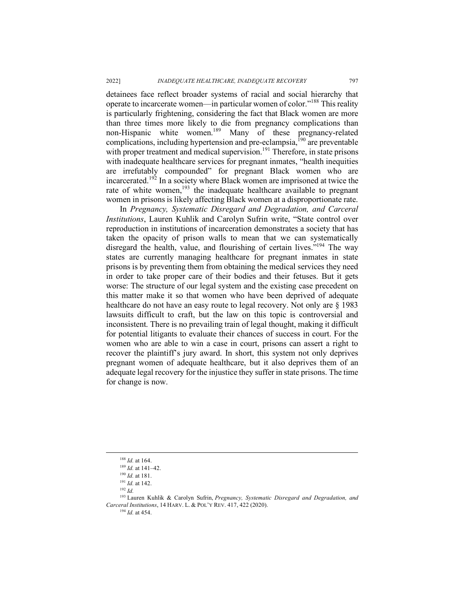detainees face reflect broader systems of racial and social hierarchy that operate to incarcerate women—in particular women of color."188 This reality is particularly frightening, considering the fact that Black women are more than three times more likely to die from pregnancy complications than non-Hispanic white women.<sup>189</sup> Many of these pregnancy-related complications, including hypertension and pre-eclampsia,<sup>190</sup> are preventable with proper treatment and medical supervision.<sup>191</sup> Therefore, in state prisons with inadequate healthcare services for pregnant inmates, "health inequities are irrefutably compounded" for pregnant Black women who are incarcerated.<sup>192</sup> In a society where Black women are imprisoned at twice the rate of white women, $193$  the inadequate healthcare available to pregnant women in prisons is likely affecting Black women at a disproportionate rate.

In *Pregnancy, Systematic Disregard and Degradation, and Carceral Institutions*, Lauren Kuhlik and Carolyn Sufrin write, "State control over reproduction in institutions of incarceration demonstrates a society that has taken the opacity of prison walls to mean that we can systematically disregard the health, value, and flourishing of certain lives.<sup>5194</sup> The way states are currently managing healthcare for pregnant inmates in state prisons is by preventing them from obtaining the medical services they need in order to take proper care of their bodies and their fetuses. But it gets worse: The structure of our legal system and the existing case precedent on this matter make it so that women who have been deprived of adequate healthcare do not have an easy route to legal recovery. Not only are § 1983 lawsuits difficult to craft, but the law on this topic is controversial and inconsistent. There is no prevailing train of legal thought, making it difficult for potential litigants to evaluate their chances of success in court. For the women who are able to win a case in court, prisons can assert a right to recover the plaintiff's jury award. In short, this system not only deprives pregnant women of adequate healthcare, but it also deprives them of an adequate legal recovery for the injustice they suffer in state prisons. The time for change is now.

 <sup>188</sup> *Id.* at 164.

<sup>&</sup>lt;sup>189</sup> *Id.* at 141–42.<br><sup>190</sup> *Id.* at 181.

<sup>&</sup>lt;sup>191</sup> *Id.* at 142.

 $192$  *Id.* 

<sup>193</sup> Lauren Kuhlik & Carolyn Sufrin, *Pregnancy, Systematic Disregard and Degradation, and Carceral Institutions*, 14 HARV. L. & POL'Y REV. 417, 422 (2020).

<sup>194</sup> *Id.* at 454.